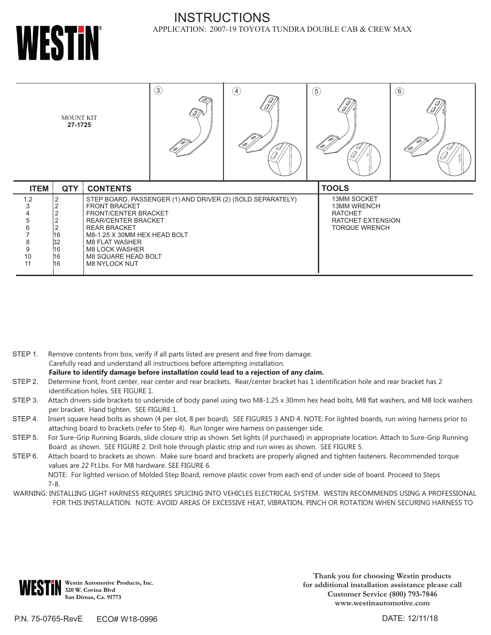

### INSTRUCTIONS APPLICATION: 2007-19 TOYOTA TUNDRA DOUBLE CAB & CREW MAX

| <b>MOUNT KIT</b><br>27-1725                                                       |                                                             |                                                                                                                                                                                                                                                  | $\circled{3}$<br>OW.                                       | $\bigcirc$ | $\circledS$                                                                                             | ₩            | $\circled6$ |
|-----------------------------------------------------------------------------------|-------------------------------------------------------------|--------------------------------------------------------------------------------------------------------------------------------------------------------------------------------------------------------------------------------------------------|------------------------------------------------------------|------------|---------------------------------------------------------------------------------------------------------|--------------|-------------|
| <b>ITEM</b>                                                                       | <b>QTY</b>                                                  | <b>CONTENTS</b>                                                                                                                                                                                                                                  |                                                            |            |                                                                                                         | <b>TOOLS</b> |             |
| 1,2<br>3<br>4<br>5<br>6<br>7<br>$\begin{array}{c} 8 \\ 9 \end{array}$<br>10<br>11 | $\overline{2}$<br>$\sim$<br>2<br>16<br>32<br>16<br>16<br>16 | <b>FRONT BRACKET</b><br><b>FRONT/CENTER BRACKET</b><br><b>REAR/CENTER BRACKET</b><br><b>REAR BRACKET</b><br>M8-1.25 X 30MM HEX HEAD BOLT<br><b>M8 FLAT WASHER</b><br><b>M8 LOCK WASHER</b><br><b>M8 SQUARE HEAD BOLT</b><br><b>M8 NYLOCK NUT</b> | STEP BOARD, PASSENGER (1) AND DRIVER (2) (SOLD SEPARATELY) |            | <b>13MM SOCKET</b><br><b>13MM WRENCH</b><br><b>RATCHET</b><br>RATCHET EXTENSION<br><b>TORQUE WRENCH</b> |              |             |

- STEP 1. Remove contents from box, verify if all parts listed are present and free from damage. Carefully read and understand all instructions before attempting installation. **Failure to identify damage before installation could lead to a rejection of any claim.**
- STEP 2. Determine front, front center, rear center and rear brackets. Rear/center bracket has 1 identification hole and rear bracket has 2 identification holes. SEE FIGURE 1.
- STEP 3. Attach drivers side brackets to underside of body panel using two M8-1.25 x 30mm hex head bolts, M8 flat washers, and M8 lock washers per bracket. Hand tighten. SEE FIGURE 1.
- STEP 4. Insert square head bolts as shown (4 per slot, 8 per board). SEE FIGURES 3 AND 4. NOTE: For lighted boards, run wiring harness prior to attaching board to brackets (refer to Step 4). Run longer wire harness on passenger side.
- STEP 5. For Sure-Grip Running Boards, slide closure strip as shown. Set lights (if purchased) in appropriate location. Attach to Sure-Grip Running Board as shown. SEE FIGURE 2. Drill hole through plastic strip and run wires as shown. SEE FIGURE 5.
- STEP 6. Attach board to brackets as shown. Make sure board and brackets are properly aligned and tighten fasteners. Recommended torque values are 22 Ft.Lbs. For M8 hardware. SEE FIGURE 6.
	- NOTE: For lighted version of Molded Step Board, remove plastic cover from each end of under side of board. Proceed to Steps 7-8.
- WARNING: INSTALLING LIGHT HARNESS REQUIRES SPLICING INTO VEHICLES ELECTRICAL SYSTEM. WESTIN RECOMMENDS USING A PROFESSIONAL FOR THIS INSTALLATION. NOTE: AVOID AREAS OF EXCESSIVE HEAT, VIBRATION, PINCH OR ROTATION WHEN SECURING HARNESS TO



**Westin Automotive Products, Inc. 320 W. Covina Blvd San Dimas, Ca. 91773**

**Thank you for choosing Westin products for additional installation assistance please call Customer Service (800) 793-7846 www.westinautomotive.com**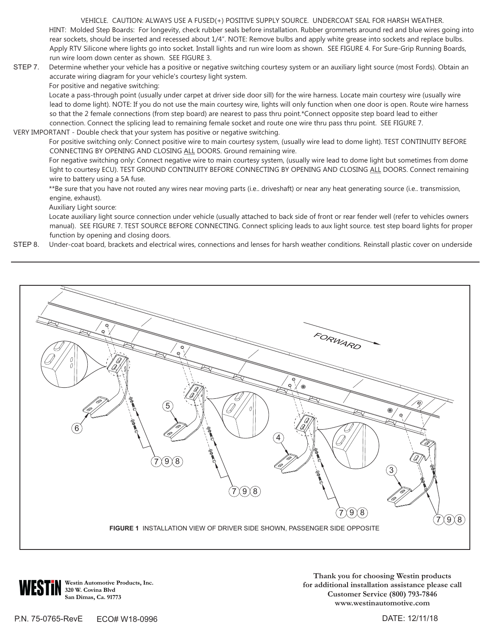VEHICLE. CAUTION: ALWAYS USE A FUSED(+) POSITIVE SUPPLY SOURCE. UNDERCOAT SEAL FOR HARSH WEATHER. HINT: Molded Step Boards: For longevity, check rubber seals before installation. Rubber grommets around red and blue wires going into rear sockets, should be inserted and recessed about 1/4". NOTE: Remove bulbs and apply white grease into sockets and replace bulbs. Apply RTV Silicone where lights go into socket. Install lights and run wire loom as shown. SEE FIGURE 4. For Sure-Grip Running Boards, run wire loom down center as shown. SEE FIGURE 3.

- STEP 7. Determine whether your vehicle has a positive or negative switching courtesy system or an auxiliary light source (most Fords). Obtain an accurate wiring diagram for your vehicle's courtesy light system.
	- For positive and negative switching:

Locate a pass-through point (usually under carpet at driver side door sill) for the wire harness. Locate main courtesy wire (usually wire lead to dome light). NOTE: If you do not use the main courtesy wire, lights will only function when one door is open. Route wire harness so that the 2 female connections (from step board) are nearest to pass thru point.\*Connect opposite step board lead to either connection. Connect the splicing lead to remaining female socket and route one wire thru pass thru point. SEE FIGURE 7.

VERY IMPORTANT - Double check that your system has positive or negative switching.

For positive switching only: Connect positive wire to main courtesy system, (usually wire lead to dome light). TEST CONTINUITY BEFORE CONNECTING BY OPENING AND CLOSING ALL DOORS. Ground remaining wire.

For negative switching only: Connect negative wire to main courtesy system, (usually wire lead to dome light but sometimes from dome light to courtesy ECU). TEST GROUND CONTINUITY BEFORE CONNECTING BY OPENING AND CLOSING ALL DOORS. Connect remaining wire to battery using a 5A fuse.

\*\*Be sure that you have not routed any wires near moving parts (i.e.. driveshaft) or near any heat generating source (i.e.. transmission, engine, exhaust).

Auxiliary Light source:

Locate auxiliary light source connection under vehicle (usually attached to back side of front or rear fender well (refer to vehicles owners manual). SEE FIGURE 7. TEST SOURCE BEFORE CONNECTING. Connect splicing leads to aux light source. test step board lights for proper function by opening and closing doors.

STEP 8. Under-coat board, brackets and electrical wires, connections and lenses for harsh weather conditions. Reinstall plastic cover on underside



**Westin Automotive Products, Inc. 320 W. Covina Blvd San Dimas, Ca. 91773**

**Thank you for choosing Westin products for additional installation assistance please call Customer Service (800) 793-7846 www.westinautomotive.com**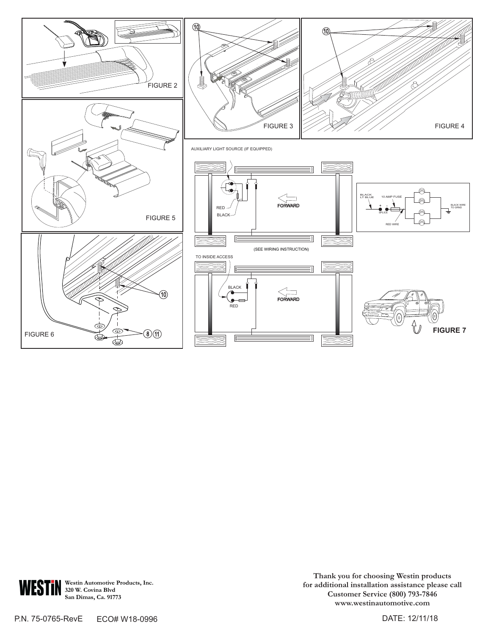



**Westin Automotive Products, Inc. 320 W. Covina Blvd San Dimas, Ca. 91773**

**Thank you for choosing Westin products for additional installation assistance please call Customer Service (800) 793-7846 www.westinautomotive.com**

P.N. 75-0765-RevE ECO# W18-0996

DATE: 12/11/18